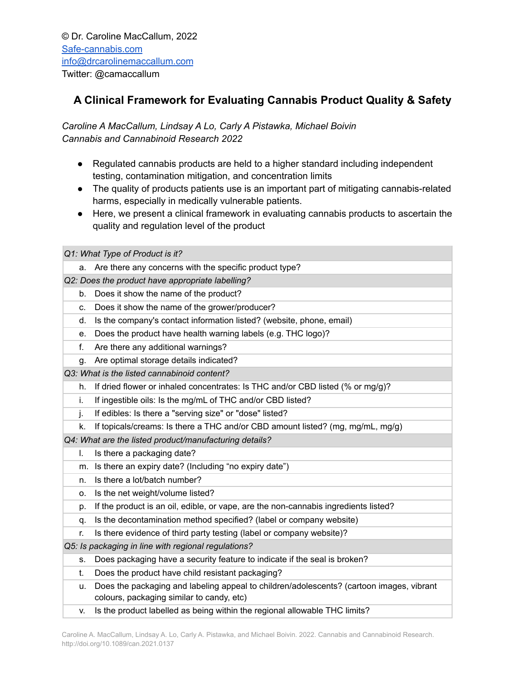## **A Clinical Framework for Evaluating Cannabis Product Quality & Safety**

*Caroline A MacCallum, Lindsay A Lo, Carly A Pistawka, Michael Boivin Cannabis and Cannabinoid Research 2022*

- Regulated cannabis products are held to a higher standard including independent testing, contamination mitigation, and concentration limits
- The quality of products patients use is an important part of mitigating cannabis-related harms, especially in medically vulnerable patients.
- Here, we present a clinical framework in evaluating cannabis products to ascertain the quality and regulation level of the product

*Q1: What Type of Product is it?*

a. Are there any concerns with the specific product type?

*Q2: Does the product have appropriate labelling?*

- b. Does it show the name of the product?
- c. Does it show the name of the grower/producer?
- d. Is the company's contact information listed? (website, phone, email)
- e. Does the product have health warning labels (e.g. THC logo)?
- f. Are there any additional warnings?
- g. Are optimal storage details indicated?
- *Q3: What is the listed cannabinoid content?*
	- h. If dried flower or inhaled concentrates: Is THC and/or CBD listed (% or mg/g)?
	- i. If ingestible oils: Is the mg/mL of THC and/or CBD listed?
	- j. If edibles: Is there a "serving size" or "dose" listed?
	- k. If topicals/creams: Is there a THC and/or CBD amount listed? (mg, mg/mL, mg/g)

*Q4: What are the listed product/manufacturing details?*

- l. Is there a packaging date?
- m. Is there an expiry date? (Including "no expiry date")
- n. Is there a lot/batch number?
- o. Is the net weight/volume listed?
- p. If the product is an oil, edible, or vape, are the non-cannabis ingredients listed?
- q. Is the decontamination method specified? (label or company website)
- r. Is there evidence of third party testing (label or company website)?

*Q5: Is packaging in line with regional regulations?*

- s. Does packaging have a security feature to indicate if the seal is broken?
- t. Does the product have child resistant packaging?
- u. Does the packaging and labeling appeal to children/adolescents? (cartoon images, vibrant colours, packaging similar to candy, etc)
- v. Is the product labelled as being within the regional allowable THC limits?